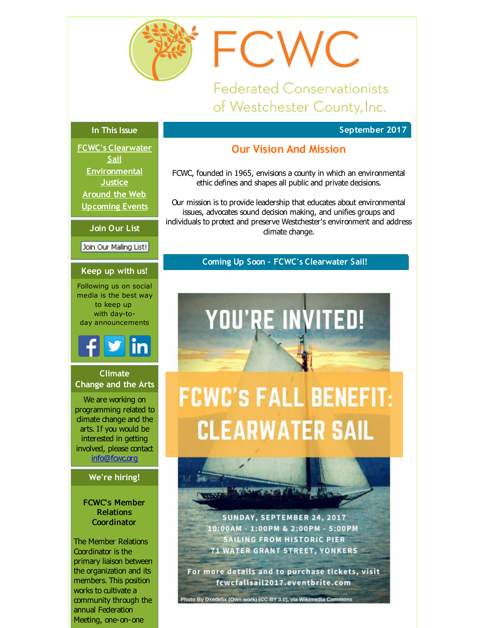<span id="page-0-0"></span>

**Federated Conservationists** of Westchester County, Inc.

**September 2017**

#### **In This Issue**

**FCWC's [Clearwater](#page-0-0) Sail [Environmental](#page-0-0) Justice [Around](#page-0-0) the Web [Upcoming](#page-0-0) Events**

**Join Our List**

Join Our Mailing List!

#### **Keep up with us!**

Following us on social media is the best way to keep up with day-today announcements



#### **Climate Change and the Arts**

We are working on programming related to dimate change and the arts. If you would be interested in getting involved, please contact [info@fcwc.org](mailto:info@fcwc.org)

#### **We're hiring!**

#### FCWC's Member Relations **Coordinator**

The Member Relations Coordinator is the primary liaison between the organization and its members. This position works to cultivate a community through the annual Federation Meeting, one-on-one

#### **Our Vision And Mission**

FCWC

FCWC, founded in 1965, envisions a county in which an environmental ethic defines and shapes all public and private decisions.

Our mission is to provide leadership that educates about environmental issues, advocates sound decision making, and unifies groups and individuals to protect and preserve Westchester's environment and address dimate change.

#### **Coming Up Soon - FCWC's Clearwater Sail!**

# YOU'RE INVITED!

## **FCWC'S FALL BENEFIT: CLEARWATER SAIL**



For more details and to purchase tickets, visit fcwcfallsail2017.eventbrite.com

Photo By Dxede5x (Own work) [CC BY 3.0], via Wikimedia Commons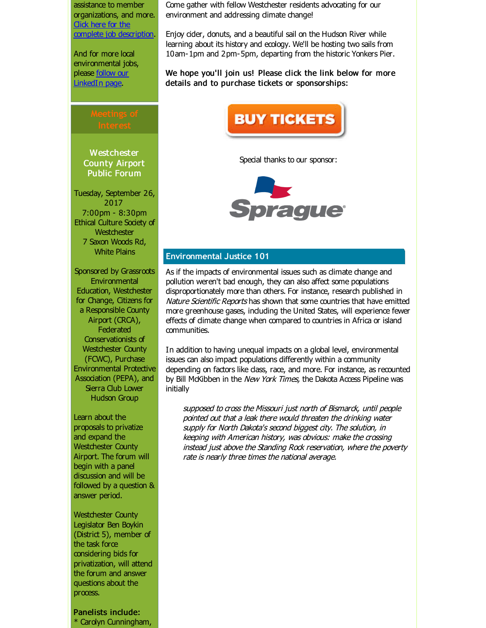assistance to member organizations, and more. Click here for the complete job [description](http://r20.rs6.net/tn.jsp?f=001JQbzq_OGQge83kQO1I928IqB4E3LPSkNDBKKewX0P5jJ2itMDwM8xY1cu1PP3zpf700ptQqbj661mIgyq9O_vP0r2yXlRSS60uixqLqVY8W4la0jauPOKyf3XzupYBY8VJE3_HbW3oOjM4Q5tUNEYqorFyNqiVhPsXdOxeSN_EOUxcYmWuNICmxMIvNcz3Dj2VUjrbPNp09Nu_EdWcKD1UzKaKc_O-QB0UMN6ZmrlbsE7_w6PpUg8g==&c=&ch=).

And for more local environmental jobs, please **follow our** [LinkedIn](http://r20.rs6.net/tn.jsp?f=001JQbzq_OGQge83kQO1I928IqB4E3LPSkNDBKKewX0P5jJ2itMDwM8xREeeD3HfwiTVTq8Pja4Ep1hcqjZhQf6wvi8OqCqXnk5qr5gyATMgcaFoKYhk539URZVL_6t0cqO5wdlUbIpRt-NlohpGydU6W12nrasgATtXIbxZMbKQSa9sOvHX6yWZOXNYMAd2p0tHTIn-kdKQWdPkGx7qeZ6kg==&c=&ch=) page.

**Westchester** County Airport Public Forum

Tuesday, September 26, 2017 7:00pm - 8:30pm Ethical Culture Society of Westchester 7 Saxon Woods Rd, White Plains

Sponsored by Grassroots Environmental Education, Westchester for Change, Citizens for a Responsible County Airport (CRCA), **Federated** Conservationists of Westchester County (FCWC), Purchase Environmental Protective Association (PEPA), and Sierra Club Lower Hudson Group

Learn about the proposals to privatize and expand the Westchester County Airport. The forum will begin with a panel discussion and will be followed by a question & answer period.

Westchester County Legislator Ben Boykin (District 5), member of the task force considering bids for privatization, will attend the forum and answer questions about the process.

Panelists include: \* Carolyn Cunningham,

Come gather with fellow Westchester residents advocating for our environment and addressing dimate change!

Enjoy cider, donuts, and a beautiful sail on the Hudson River while learning about its history and ecology. We'll be hosting two sails from 10am-1pm and 2pm-5pm, departing from the historic Yonkers Pier.

We hope you'll join us! Please click the link below for more details and to purchase tickets or sponsorships:



Special thanks to our sponsor:



#### **Environmental Justice 101**

As if the impacts of environmental issues such as climate change and pollution weren't bad enough, they can also affect some populations disproportionately more than others. For instance, research published in Nature Scientific Reports has shown that some countries that have emitted more greenhouse gases, induding the United States, will experience fewer effects of climate change when compared to countries in Africa or island communities.

In addition to having unequal impacts on a global level, environmental issues can also impact populations differently within a community depending on factors like class, race, and more. For instance, as recounted by Bill McKibben in the New York Times, the Dakota Access Pipeline was initially

supposed to cross the Missouri just north of Bismarck, until people pointed out that <sup>a</sup> leak there would threaten the drinking water supply for North Dakota's second biggest city. The solution, in keeping with American history, was obvious: make the crossing instead just above the Standing Rock reservation, where the poverty rate is nearly three times the national average.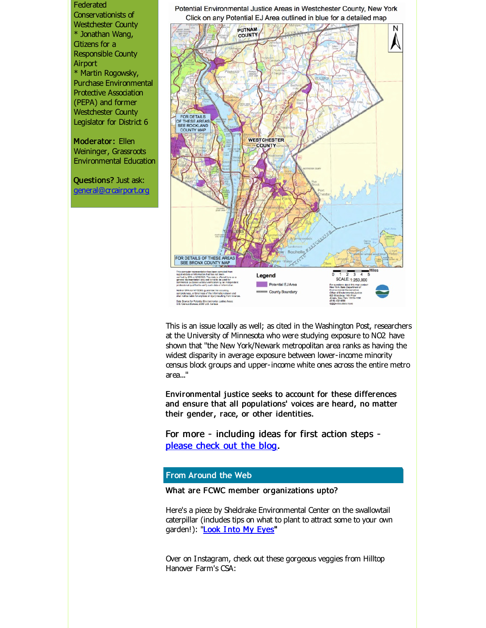Federated Conservationists of Westchester County \* Jonathan Wang, Citizens for a Responsible County Airport \* Martin Rogowsky, Purchase Environmental Protective Association (PEPA) and former Westchester County Legislator for District 6

Moderator: Ellen Weininger, Grassroots Environmental Education

Questions? Just ask: [general@crcairport.org](mailto:general@crcairport.org) Potential Environmental Justice Areas in Westchester County, New York Click on any Potential EJ Area outlined in blue for a detailed map



This is an issue locally as well; as cited in the Washington Post, researchers at the University of Minnesota who were studying exposure to NO2 have shown that "the New York/Newark metropolitan area ranks as having the widest disparity in average exposure between lower-income minority census block groups and upper-income white ones across the entire metro area..."

Environmental justice seeks to account for these differences and ensure that all populations' voices are heard, no matter their gender, race, or other identities.

For more - including ideas for first action steps [please](http://r20.rs6.net/tn.jsp?f=001JQbzq_OGQge83kQO1I928IqB4E3LPSkNDBKKewX0P5jJ2itMDwM8xY1cu1PP3zpfsDqy6liz_2EzrlzOcuP3oRknLLXuaUFQoLoQXBrKaEhKmtpN691OJjU7gEczzsetdZuWRtRUgii-NVifN_N5PhhY34M_sozQE8IJI8RURySgBIeXMM3VeYF8S1oz9LafJVpHrcsoKnUkdgneaRSYTNnImyNhA2gRLsJYvOxXQyc=&c=&ch=) check out the blog.

#### **From Around the Web**

#### What are FCWC member organizations upto?

Here's a piece by Sheldrake Environmental Center on the swallowtail caterpillar (indudes tips on what to plant to attract some to your own garden!): ["Look](http://r20.rs6.net/tn.jsp?f=001JQbzq_OGQge83kQO1I928IqB4E3LPSkNDBKKewX0P5jJ2itMDwM8xY1cu1PP3zpfLOm8sEqEjt_qYaJv6imzEfh0i2hTJVA9Ff5D837bY8RBDHUw9mcB_wGVEY6nPFhrev7RKyX6HSqaw9nOCDVSIxzKdYsuklad3NfN8GM9QxzcpDPGd7Ej6N5-QP9TuFEY3aSKh52IksnIRN3ATE44CunNX_-5tuEjTK3cLGLx0XI=&c=&ch=) Into My Eyes"

Over on Instagram, check out these gorgeous veggies from Hilltop Hanover Farm's CSA: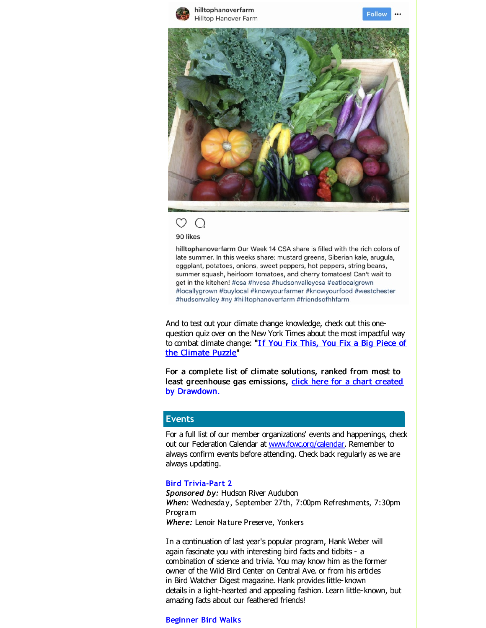







hilltophanoverfarm Our Week 14 CSA share is filled with the rich colors of late summer. In this weeks share: mustard greens, Siberian kale, arugula, eggplant, potatoes, onions, sweet peppers, hot peppers, string beans, summer squash, heirloom tomatoes, and cherry tomatoes! Can't wait to get in the kitchen! #csa #hvcsa #hudsonvalleycsa #eatlocalgrown #locallygrown #buylocal #knowyourfarmer #knowyourfood #westchester #hudsonvalley #ny #hilltophanoverfarm #friendsofhhfarm

And to test out your dimate change knowledge, check out this onequestion quiz over on the New York Times about the most impactful way to combat dimate change: "If You Fix This, You Fix a Big Piece of the [Climate](http://r20.rs6.net/tn.jsp?f=001JQbzq_OGQge83kQO1I928IqB4E3LPSkNDBKKewX0P5jJ2itMDwM8xY1cu1PP3zpf5r6g9lNGRo2o4xfK8B4XjqFQy5Q2NfAvn0QUih1Z1eMb_yzNO4-eKWTeAvJi-14vGZuzOzqJGwFWNV-CPBE-uwfSBpI7uURBOQzaRnBQLKiNSkjsAinhz7iGgxUFW-P30-WEAeleQ2w7ju1jPxAY6jkuEDSoflOMukNqz_XcmAKN4SB8HixHYGNsU8D8oKC9SUAhh483m5c9Zl-Z2pvghVhHF9VUexGZqhMo8reB0vs=&c=&ch=) Puzzle"

For a complete list of climate solutions, ranked from most to least [greenhouse](http://r20.rs6.net/tn.jsp?f=001JQbzq_OGQge83kQO1I928IqB4E3LPSkNDBKKewX0P5jJ2itMDwM8xY1cu1PP3zpf-jWqp07q5F72UJV_n-Bc1CniNk_rJPMpW2QxlsBo2Krb8x4E8KuRfhZdtWj0bkdsebqzRRmMJV1SzhUveZ11t2Oja5Rnj7yewa0rEONzxXAc6JEnvy_nJ5sTUXP50KJK35cJiQ76vE8=&c=&ch=) gas emissions, click here for a chart created by Drawdown.

#### **Events**

For a full list of our member organizations' events and happenings, check out our Federation Calendar at www.fowc.org/calendar. Remember to always confirm events before attending. Check back regularly as we are always updating.

#### **Bird Trivia-Part 2**

*Sponsored by:* Hudson River Audubon *When:* Wednesday, September 27th, 7:00pm Refreshments, 7:30pm Program *Where:* Lenoir Nature Preserve, Yonkers

In a continuation of last year's popular program, Hank Weber will again fascinate you with interesting bird facts and tidbits - a combination of science and trivia. You may know him as the former owner of the Wild Bird Center on Central Ave. or from his artides in Bird Watcher Digest magazine. Hank provides little-known details in a light-hearted and appealing fashion. Learn little-known, but amazing facts about our feathered friends!

#### **Beginner Bird Walks**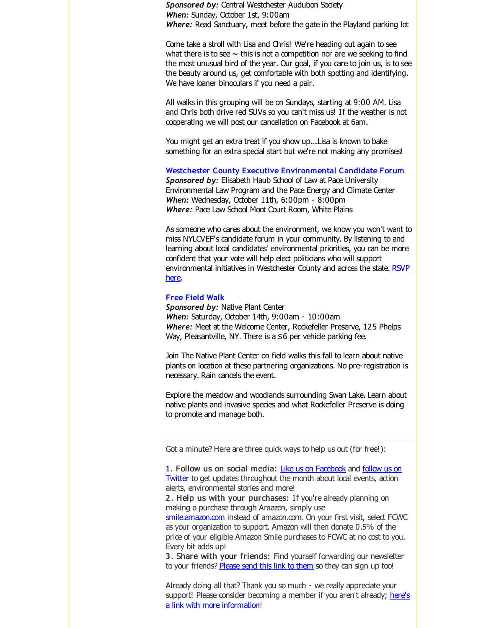**Sponsored by: Central Westchester Audubon Society** *When:* Sunday, October 1st, 9:00am Where: Read Sanctuary, meet before the gate in the Playland parking lot

Come take a stroll with Lisa and Chris! We're heading out again to see what there is to see  $\sim$  this is not a competition nor are we seeking to find the most unusual bird of the year. Our goal, if you care to join us, is to see the beauty around us, get comfortable with both spotting and identifying. We have loaner binoculars if you need a pair.

All walks in this grouping will be on Sundays, starting at 9:00 AM. Lisa and Chris both drive red SUVs so you can't miss us! If the weather is not cooperating we will post our cancellation on Facebook at 6am.

You might get an extra treat if you show up....Lisa is known to bake something for an extra special start but we're not making any promises!

**Westchester County Executive Environmental Candidate Forum** *Sponsored by:* Elisabeth Haub School of Law at Pace University Environmental Law Program and the Pace Energy and Climate Center *When:* Wednesday, October 11th, 6:00pm - 8:00pm *Where:* Pace Law School Moot Court Room, White Plains

As someone who cares about the environment, we know you won't want to miss NYLCVEF's candidate forum in your community. By listening to and learning about local candidates' environmental priorities, you can be more confident that your vote will help elect politicians who will support [environmental](http://r20.rs6.net/tn.jsp?f=001JQbzq_OGQge83kQO1I928IqB4E3LPSkNDBKKewX0P5jJ2itMDwM8xY1cu1PP3zpfDblszOuj2b5DBQBNSB6Wdr4BeB4-d-CP72z2K1zha-VQo9RBZ4lo-ySDjiQdrJctnKPiu_HJaS0py17SA-mRpApLfUa5eRYUrULwsX7TyQ0jTu4XvqglZBwwUXl_4J2Ezko6VXFYCanhiboH3Go4Y1EYWX-Rzvy8IuLi_qO63gs4znUyRDKoloEhNhvoIHOzMofdYNMpddI=&c=&ch=) initiatives in Westchester County and across the state. RSVP here.

#### **Free Field Walk**

*Sponsored by:* Native Plant Center *When:* Saturday, October 14th, 9:00am - 10:00am *Where:* Meet at the Welcome Center, Rockefeller Preserve, 125 Phelps Way, Pleasantville, NY. There is a \$6 per vehide parking fee.

Join The Native Plant Center on field walks this fall to learn about native plants on location at these partnering organizations. No pre-registration is necessary. Rain cancels the event.

Explore the meadow and woodlands surrounding Swan Lake. Learn about native plants and invasive species and what Rockefeller Preserve is doing to promote and manage both.

Got a minute? Here are three quick ways to help us out (for free!):

[smile.amazon.com](http://r20.rs6.net/tn.jsp?f=001JQbzq_OGQge83kQO1I928IqB4E3LPSkNDBKKewX0P5jJ2itMDwM8xfugea-p-tmi5DwjhxzOIVSxhsaRzXeszHXUVUVrk-KWApWP6RqqcZ8OQpbNpF-LmJVTl46hdS5f0E_hzz7Fx-txRo0uw2ERKwYR-mJIucXSzeurryaDVbI=&c=&ch=) instead of amazon.com. On your first visit, select FCWC as your organization to support. Amazon will then donate 0.5% of the price of your eligible Amazon Smile purchases to FCWC at no cost to you. Every bit adds up!

3 . Share with your friends: Find yourself forwarding our newsletter to your friends? [Please](http://r20.rs6.net/tn.jsp?f=001JQbzq_OGQge83kQO1I928IqB4E3LPSkNDBKKewX0P5jJ2itMDwM8xW8BQTaBSb2RGf5OjFN5tT_LycsEjGRFfc00Mkwt_ztRAalLj8bHwsx2-sdw8z93g1jSdrlKkUXZuhkVJfG5zwxw1eml0nN9KADnlA8ESAmavdqemmR-Zsk=&c=&ch=) send this link to them so they can sign up too!

Already doing all that? Thank you so much - we really appreciate your support! Please consider becoming a member if you aren't already; here's a link with more [information!](http://r20.rs6.net/tn.jsp?f=001JQbzq_OGQge83kQO1I928IqB4E3LPSkNDBKKewX0P5jJ2itMDwM8xW8BQTaBSb2RCWuPl9vtM5m2u1-IABlx7jvD-7_KqpscyI5XIl3Xkkj620emAEdeQg3XXVHrcDSqpZUDPXpsdCmOt0msL0CvYlRyCzEU7gT5ySWA-sqiezE0xeKyH4dcgvcbRb3_4MVn&c=&ch=)

<sup>1.</sup> Follow us on social media: Like us on [Facebook](http://r20.rs6.net/tn.jsp?f=001JQbzq_OGQge83kQO1I928IqB4E3LPSkNDBKKewX0P5jJ2itMDwM8xW8BQTaBSb2ROtR0y0p0mtSGoMmiAYY4DKZpoZ3Od0sjyHkI0ged7SVsh-7hPxrcRXeFstqjAwyfg30zP-oYFZkkOBv9NCaftxdbUnaQt8SQGqtt6QzW7tsbeNHmCyqfzETLXVhesGbGaytPHomk1fYl4i34d8IyAtLAjchkqJ1HRGJ-i3uM5GIX0HgC2eD_bYImS8jAlMd8AbVH9nKovb-jz7Pcx9FDkg==&c=&ch=) and follow us on Twitter to get updates [throughout](http://r20.rs6.net/tn.jsp?f=001JQbzq_OGQge83kQO1I928IqB4E3LPSkNDBKKewX0P5jJ2itMDwM8xY3-t3e45VRoxiuVKbRi2cG7FEDAEt8LKGgo5Bq6IHZQV4PNfR_uT93ub9NjKbuaT-NmovIKMgTH_yyHXisl11dhS-DP3Yl2jWtUy7MN_cnyHbIoBU3bebo=&c=&ch=) the month about local events, action alerts, environmental stories and more!

<sup>2</sup> . Help us with your purchases: If you're already planning on making a purchase through Amazon, simply use